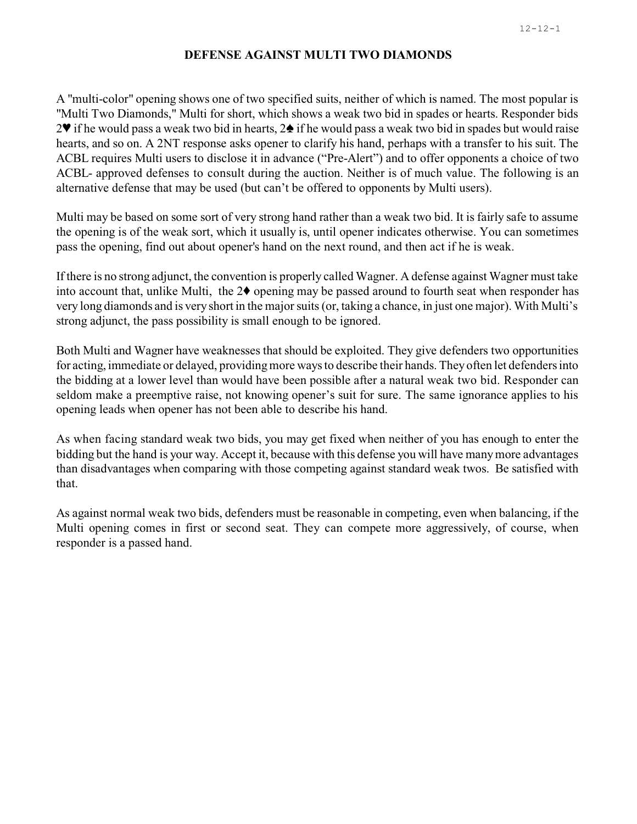## **DEFENSE AGAINST MULTI TWO DIAMONDS**

A "multi-color" opening shows one of two specified suits, neither of which is named. The most popular is "Multi Two Diamonds," Multi for short, which shows a weak two bid in spades or hearts. Responder bids  $2^{\circ}$  if he would pass a weak two bid in hearts,  $2\bullet$  if he would pass a weak two bid in spades but would raise hearts, and so on. A 2NT response asks opener to clarify his hand, perhaps with a transfer to his suit. The ACBL requires Multi users to disclose it in advance ("Pre-Alert") and to offer opponents a choice of two ACBL- approved defenses to consult during the auction. Neither is of much value. The following is an alternative defense that may be used (but can't be offered to opponents by Multi users).

Multi may be based on some sort of very strong hand rather than a weak two bid. It is fairly safe to assume the opening is of the weak sort, which it usually is, until opener indicates otherwise. You can sometimes pass the opening, find out about opener's hand on the next round, and then act if he is weak.

If there is no strong adjunct, the convention is properly called Wagner. A defense against Wagner must take into account that, unlike Multi, the  $2\blacklozenge$  opening may be passed around to fourth seat when responder has very long diamonds and is very short in the major suits (or, taking a chance, in just one major). With Multi's strong adjunct, the pass possibility is small enough to be ignored.

Both Multi and Wagner have weaknesses that should be exploited. They give defenders two opportunities for acting, immediate or delayed, providingmore waysto describe their hands. Theyoften let defenders into the bidding at a lower level than would have been possible after a natural weak two bid. Responder can seldom make a preemptive raise, not knowing opener's suit for sure. The same ignorance applies to his opening leads when opener has not been able to describe his hand.

As when facing standard weak two bids, you may get fixed when neither of you has enough to enter the bidding but the hand is your way. Accept it, because with this defense you will have many more advantages than disadvantages when comparing with those competing against standard weak twos. Be satisfied with that.

As against normal weak two bids, defenders must be reasonable in competing, even when balancing, if the Multi opening comes in first or second seat. They can compete more aggressively, of course, when responder is a passed hand.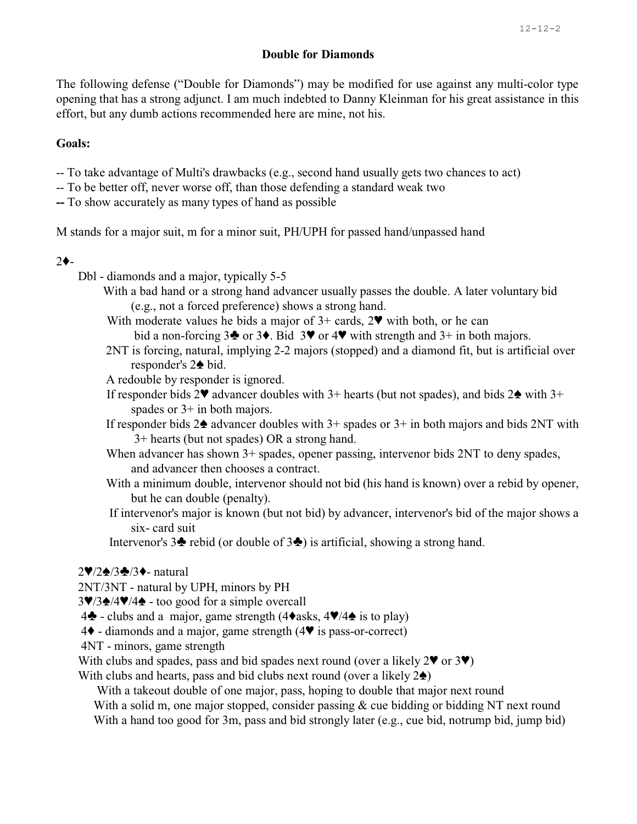## **Double for Diamonds**

The following defense ("Double for Diamonds") may be modified for use against any multi-color type opening that has a strong adjunct. I am much indebted to Danny Kleinman for his great assistance in this effort, but any dumb actions recommended here are mine, not his.

# **Goals:**

- -- To take advantage of Multi's drawbacks (e.g., second hand usually gets two chances to act)
- -- To be better off, never worse off, than those defending a standard weak two
- **--** To show accurately as many types of hand as possible

M stands for a major suit, m for a minor suit, PH/UPH for passed hand/unpassed hand

#### $2<sub>+</sub>$

- Dbl diamonds and a major, typically 5-5
	- With a bad hand or a strong hand advancer usually passes the double. A later voluntary bid (e.g., not a forced preference) shows a strong hand.
	- With moderate values he bids a major of  $3+$  cards,  $2\Psi$  with both, or he can bid a non-forcing  $3\blacklozenge$  or  $3\blacklozenge$ . Bid  $3\blacktriangledown$  or  $4\blacktriangledown$  with strength and  $3+$  in both majors.
	- 2NT is forcing, natural, implying 2-2 majors (stopped) and a diamond fit, but is artificial over responder's  $2\spadesuit$  bid.
	- A redouble by responder is ignored.
	- If responder bids  $2\blacktriangledown$  advancer doubles with  $3+$  hearts (but not spades), and bids  $2\blacktriangle$  with  $3+$ spades or  $3+$  in both majors.
	- If responder bids  $2\spadesuit$  advancer doubles with  $3+$  spades or  $3+$  in both majors and bids 2NT with 3+ hearts (but not spades) OR a strong hand.
	- When advancer has shown 3+ spades, opener passing, intervenor bids 2NT to deny spades, and advancer then chooses a contract.
	- With a minimum double, intervenor should not bid (his hand is known) over a rebid by opener, but he can double (penalty).
	- If intervenor's major is known (but not bid) by advancer, intervenor's bid of the major shows a six- card suit
	- Intervenor's  $3\blacklozenge$  rebid (or double of  $3\blacklozenge$ ) is artificial, showing a strong hand.

#### $2\blacktriangledown/2\blacktriangle/3\blacktriangle/3\blacktriangle$ - natural

- 2NT/3NT natural by UPH, minors by PH
- $3\sqrt{3}\cdot\sqrt{4\sqrt{4}}$  too good for a simple overcall
- 4<sup> $\bullet$ </sup> clubs and a major, game strength (4 $\bullet$ asks, 4 $\blacktriangledown$ /4 $\bullet$  is to play)
- $4\blacklozenge$  diamonds and a major, game strength (4 $\blacktriangledown$  is pass-or-correct)
- 4NT minors, game strength
- With clubs and spades, pass and bid spades next round (over a likely  $2\mathbf{V}$  or  $3\mathbf{V}$ )

With clubs and hearts, pass and bid clubs next round (over a likely  $2\spadesuit$ )

With a takeout double of one major, pass, hoping to double that major next round

With a solid m, one major stopped, consider passing & cue bidding or bidding NT next round With a hand too good for 3m, pass and bid strongly later (e.g., cue bid, notrump bid, jump bid)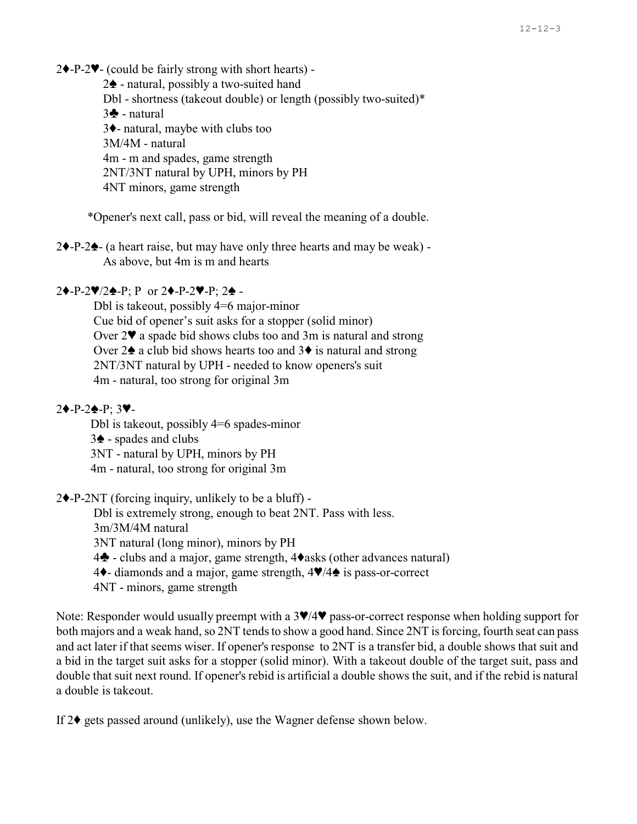$2\blacklozenge$ -P-2 $\blacktriangledown$ - (could be fairly strong with short hearts) -

 $2\spadesuit$  - natural, possibly a two-suited hand

Dbl - shortness (takeout double) or length (possibly two-suited)\*

 $3\clubsuit$  - natural  $3\blacklozenge$ - natural, maybe with clubs too 3M/4M - natural 4m - m and spades, game strength 2NT/3NT natural by UPH, minors by PH 4NT minors, game strength

\*Opener's next call, pass or bid, will reveal the meaning of a double.

 $2\blacklozenge$ -P-2 $\blacklozenge$ - (a heart raise, but may have only three hearts and may be weak) -As above, but 4m is m and hearts

## $2\blacklozenge-P-2\blacktriangledown/2\blacklozenge-P; P$  or  $2\blacklozenge-P-2\blacktriangledown-P; 2\blacklozenge -$

Dbl is takeout, possibly 4=6 major-minor Cue bid of opener's suit asks for a stopper (solid minor) Over  $2\blacktriangledown$  a spade bid shows clubs too and 3m is natural and strong Over  $2\spadesuit$  a club bid shows hearts too and  $3\spadesuit$  is natural and strong 2NT/3NT natural by UPH - needed to know openers's suit 4m - natural, too strong for original 3m

#### $2\bigarrow P-2\bigarrow P$ : 3 $\Psi-$

 Dbl is takeout, possibly 4=6 spades-minor  $3\spadesuit$  - spades and clubs 3NT - natural by UPH, minors by PH 4m - natural, too strong for original 3m

 $2\blacklozenge$ -P-2NT (forcing inquiry, unlikely to be a bluff) -

Dbl is extremely strong, enough to beat 2NT. Pass with less.

3m/3M/4M natural

3NT natural (long minor), minors by PH

4<sup> $\bullet$ </sup> - clubs and a major, game strength, 4 $\bullet$ asks (other advances natural)

4 $\blacklozenge$ - diamonds and a major, game strength,  $4\Psi/4\blacktriangle$  is pass-or-correct

4NT - minors, game strength

Note: Responder would usually preempt with a  $3\Psi/4\Psi$  pass-or-correct response when holding support for both majors and a weak hand, so 2NT tends to show a good hand. Since 2NT is forcing, fourth seat can pass and act later if that seems wiser. If opener's response to 2NT is a transfer bid, a double shows that suit and a bid in the target suit asks for a stopper (solid minor). With a takeout double of the target suit, pass and double that suit next round. If opener's rebid is artificial a double shows the suit, and if the rebid is natural a double is takeout.

If  $2\blacklozenge$  gets passed around (unlikely), use the Wagner defense shown below.